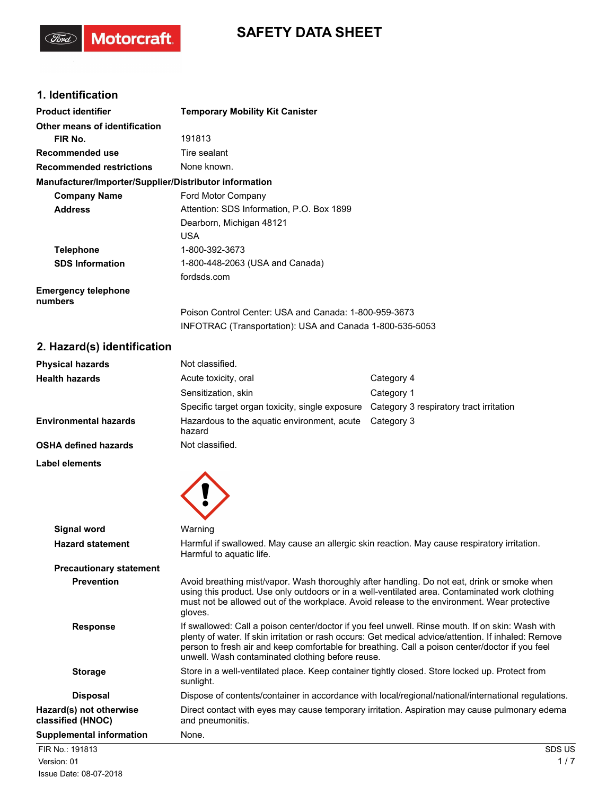# **SAFETY DATA SHEET**

# **1. Identification**

(Ford)

Motorcraft.

| <b>Product identifier</b>                              | <b>Temporary Mobility Kit Canister</b>                   |
|--------------------------------------------------------|----------------------------------------------------------|
| Other means of identification                          |                                                          |
| FIR No.                                                | 191813                                                   |
| <b>Recommended use</b>                                 | Tire sealant                                             |
| <b>Recommended restrictions</b>                        | None known.                                              |
| Manufacturer/Importer/Supplier/Distributor information |                                                          |
| <b>Company Name</b>                                    | Ford Motor Company                                       |
| <b>Address</b>                                         | Attention: SDS Information, P.O. Box 1899                |
|                                                        | Dearborn, Michigan 48121                                 |
|                                                        | <b>USA</b>                                               |
| <b>Telephone</b>                                       | 1-800-392-3673                                           |
| <b>SDS Information</b>                                 | 1-800-448-2063 (USA and Canada)                          |
|                                                        | fordsds.com                                              |
| <b>Emergency telephone</b><br>numbers                  |                                                          |
|                                                        | Poison Control Center: USA and Canada: 1-800-959-3673    |
|                                                        | INFOTRAC (Transportation): USA and Canada 1-800-535-5053 |
| 2. Hazard(s) identification                            |                                                          |

### **2. Hazard(s) identification**

| <b>Physical hazards</b>      | Not classified.                                       |                                         |
|------------------------------|-------------------------------------------------------|-----------------------------------------|
| <b>Health hazards</b>        | Acute toxicity, oral                                  | Category 4                              |
|                              | Sensitization, skin                                   | Category 1                              |
|                              | Specific target organ toxicity, single exposure       | Category 3 respiratory tract irritation |
| <b>Environmental hazards</b> | Hazardous to the aguatic environment, acute<br>hazard | Category 3                              |
| <b>OSHA defined hazards</b>  | Not classified.                                       |                                         |
| <b>Label elements</b>        |                                                       |                                         |



| <b>SDS US</b>                                                                                                                                                                                                                                                                                               |
|-------------------------------------------------------------------------------------------------------------------------------------------------------------------------------------------------------------------------------------------------------------------------------------------------------------|
|                                                                                                                                                                                                                                                                                                             |
| Direct contact with eyes may cause temporary irritation. Aspiration may cause pulmonary edema                                                                                                                                                                                                               |
| Dispose of contents/container in accordance with local/regional/national/international regulations.                                                                                                                                                                                                         |
| Store in a well-ventilated place. Keep container tightly closed. Store locked up. Protect from                                                                                                                                                                                                              |
| If swallowed: Call a poison center/doctor if you feel unwell. Rinse mouth. If on skin: Wash with<br>plenty of water. If skin irritation or rash occurs: Get medical advice/attention. If inhaled: Remove<br>person to fresh air and keep comfortable for breathing. Call a poison center/doctor if you feel |
| Avoid breathing mist/vapor. Wash thoroughly after handling. Do not eat, drink or smoke when<br>using this product. Use only outdoors or in a well-ventilated area. Contaminated work clothing<br>must not be allowed out of the workplace. Avoid release to the environment. Wear protective                |
|                                                                                                                                                                                                                                                                                                             |
| Harmful if swallowed. May cause an allergic skin reaction. May cause respiratory irritation.                                                                                                                                                                                                                |
|                                                                                                                                                                                                                                                                                                             |
|                                                                                                                                                                                                                                                                                                             |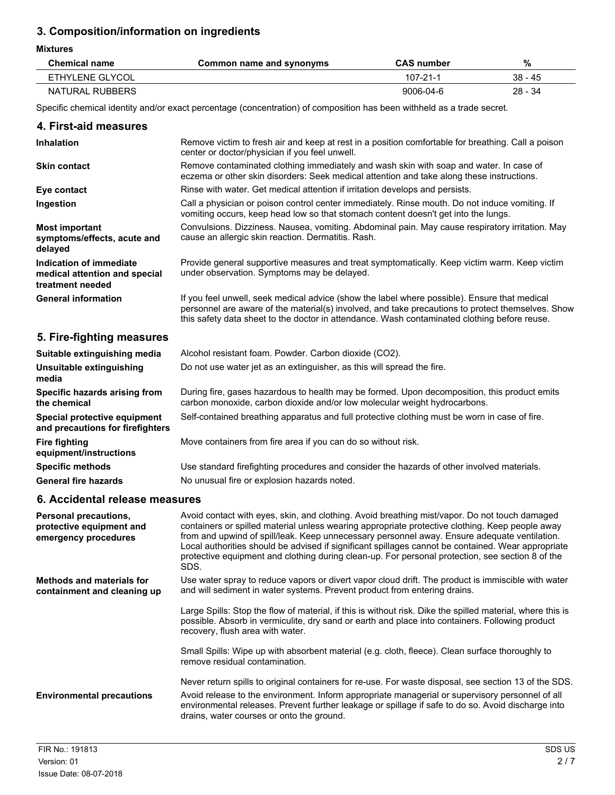# **3. Composition/information on ingredients**

#### **Mixtures**

| Chemical name   | Common name and synonyms | <b>CAS number</b> | %         |
|-----------------|--------------------------|-------------------|-----------|
| ETHYLENE GLYCOL |                          | 107-21-1          | $38 - 45$ |
| NATURAL RUBBERS |                          | 9006-04-6         | $28 - 34$ |

Specific chemical identity and/or exact percentage (concentration) of composition has been withheld as a trade secret.

#### **4. First-aid measures**

| <b>Inhalation</b>                                                            | Remove victim to fresh air and keep at rest in a position comfortable for breathing. Call a poison<br>center or doctor/physician if you feel unwell.                                                                                                                                              |  |
|------------------------------------------------------------------------------|---------------------------------------------------------------------------------------------------------------------------------------------------------------------------------------------------------------------------------------------------------------------------------------------------|--|
| <b>Skin contact</b>                                                          | Remove contaminated clothing immediately and wash skin with soap and water. In case of<br>eczema or other skin disorders: Seek medical attention and take along these instructions.                                                                                                               |  |
| Eye contact                                                                  | Rinse with water. Get medical attention if irritation develops and persists.                                                                                                                                                                                                                      |  |
| Ingestion                                                                    | Call a physician or poison control center immediately. Rinse mouth. Do not induce vomiting. If<br>vomiting occurs, keep head low so that stomach content doesn't get into the lungs.                                                                                                              |  |
| <b>Most important</b><br>symptoms/effects, acute and<br>delayed              | Convulsions. Dizziness. Nausea, vomiting. Abdominal pain. May cause respiratory irritation. May<br>cause an allergic skin reaction. Dermatitis. Rash.                                                                                                                                             |  |
| Indication of immediate<br>medical attention and special<br>treatment needed | Provide general supportive measures and treat symptomatically. Keep victim warm. Keep victim<br>under observation. Symptoms may be delayed.                                                                                                                                                       |  |
| <b>General information</b>                                                   | If you feel unwell, seek medical advice (show the label where possible). Ensure that medical<br>personnel are aware of the material(s) involved, and take precautions to protect themselves. Show<br>this safety data sheet to the doctor in attendance. Wash contaminated clothing before reuse. |  |

# **5. Fire-fighting measures**

| Suitable extinguishing media                                     | Alcohol resistant foam. Powder. Carbon dioxide (CO2).                                                                                                                     |  |  |
|------------------------------------------------------------------|---------------------------------------------------------------------------------------------------------------------------------------------------------------------------|--|--|
| <b>Unsuitable extinguishing</b><br>media                         | Do not use water jet as an extinguisher, as this will spread the fire.                                                                                                    |  |  |
| Specific hazards arising from<br>the chemical                    | During fire, gases hazardous to health may be formed. Upon decomposition, this product emits<br>carbon monoxide, carbon dioxide and/or low molecular weight hydrocarbons. |  |  |
| Special protective equipment<br>and precautions for firefighters | Self-contained breathing apparatus and full protective clothing must be worn in case of fire.                                                                             |  |  |
| <b>Fire fighting</b><br>equipment/instructions                   | Move containers from fire area if you can do so without risk.                                                                                                             |  |  |
| <b>Specific methods</b>                                          | Use standard firefighting procedures and consider the hazards of other involved materials.                                                                                |  |  |
| <b>General fire hazards</b>                                      | No unusual fire or explosion hazards noted.                                                                                                                               |  |  |

### **6. Accidental release measures**

| <b>Personal precautions,</b><br>protective equipment and<br>emergency procedures | Avoid contact with eyes, skin, and clothing. Avoid breathing mist/vapor. Do not touch damaged<br>containers or spilled material unless wearing appropriate protective clothing. Keep people away<br>from and upwind of spill/leak. Keep unnecessary personnel away. Ensure adequate ventilation.<br>Local authorities should be advised if significant spillages cannot be contained. Wear appropriate<br>protective equipment and clothing during clean-up. For personal protection, see section 8 of the<br>SDS. |
|----------------------------------------------------------------------------------|--------------------------------------------------------------------------------------------------------------------------------------------------------------------------------------------------------------------------------------------------------------------------------------------------------------------------------------------------------------------------------------------------------------------------------------------------------------------------------------------------------------------|
| <b>Methods and materials for</b><br>containment and cleaning up                  | Use water spray to reduce vapors or divert vapor cloud drift. The product is immiscible with water<br>and will sediment in water systems. Prevent product from entering drains.                                                                                                                                                                                                                                                                                                                                    |
|                                                                                  | Large Spills: Stop the flow of material, if this is without risk. Dike the spilled material, where this is<br>possible. Absorb in vermiculite, dry sand or earth and place into containers. Following product<br>recovery, flush area with water.                                                                                                                                                                                                                                                                  |
|                                                                                  | Small Spills: Wipe up with absorbent material (e.g. cloth, fleece). Clean surface thoroughly to<br>remove residual contamination.                                                                                                                                                                                                                                                                                                                                                                                  |
| <b>Environmental precautions</b>                                                 | Never return spills to original containers for re-use. For waste disposal, see section 13 of the SDS.<br>Avoid release to the environment. Inform appropriate managerial or supervisory personnel of all<br>environmental releases. Prevent further leakage or spillage if safe to do so. Avoid discharge into<br>drains, water courses or onto the ground.                                                                                                                                                        |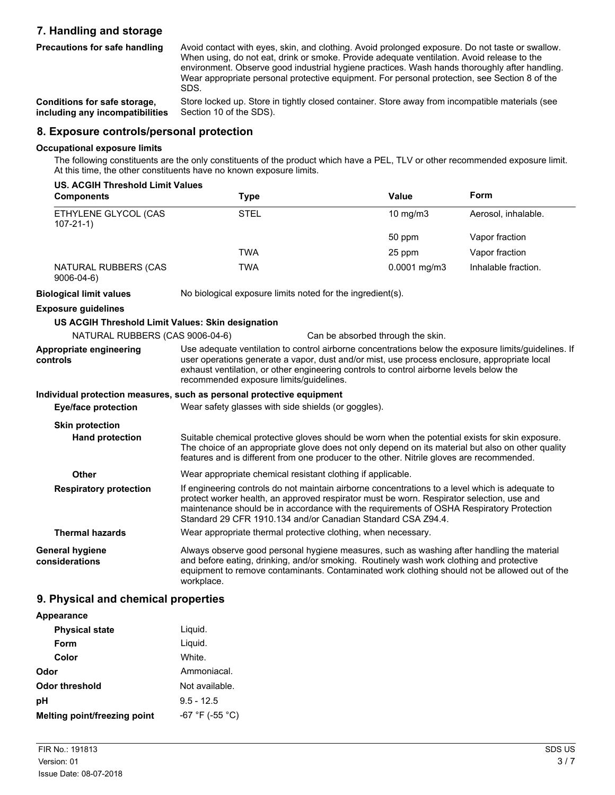# **7. Handling and storage**

**Precautions for safe handling**

Avoid contact with eyes, skin, and clothing. Avoid prolonged exposure. Do not taste or swallow. When using, do not eat, drink or smoke. Provide adequate ventilation. Avoid release to the environment. Observe good industrial hygiene practices. Wash hands thoroughly after handling. Wear appropriate personal protective equipment. For personal protection, see Section 8 of the SDS.

**Conditions for safe storage, including any incompatibilities** Store locked up. Store in tightly closed container. Store away from incompatible materials (see Section 10 of the SDS).

### **8. Exposure controls/personal protection**

#### **Occupational exposure limits**

The following constituents are the only constituents of the product which have a PEL, TLV or other recommended exposure limit. At this time, the other constituents have no known exposure limits.

| <b>US. ACGIH Threshold Limit Values</b>           |                                                                                                                                                                                                                                                                                                                                                          |                                   |                     |
|---------------------------------------------------|----------------------------------------------------------------------------------------------------------------------------------------------------------------------------------------------------------------------------------------------------------------------------------------------------------------------------------------------------------|-----------------------------------|---------------------|
| <b>Components</b>                                 | <b>Type</b>                                                                                                                                                                                                                                                                                                                                              | <b>Value</b>                      | Form                |
| ETHYLENE GLYCOL (CAS<br>$107 - 21 - 1$            | <b>STEL</b>                                                                                                                                                                                                                                                                                                                                              | $10$ mg/m $3$                     | Aerosol, inhalable. |
|                                                   |                                                                                                                                                                                                                                                                                                                                                          | 50 ppm                            | Vapor fraction      |
|                                                   | <b>TWA</b>                                                                                                                                                                                                                                                                                                                                               | 25 ppm                            | Vapor fraction      |
| NATURAL RUBBERS (CAS<br>$9006 - 04 - 6$           | <b>TWA</b>                                                                                                                                                                                                                                                                                                                                               | $0.0001$ mg/m3                    | Inhalable fraction. |
| <b>Biological limit values</b>                    | No biological exposure limits noted for the ingredient(s).                                                                                                                                                                                                                                                                                               |                                   |                     |
| <b>Exposure guidelines</b>                        |                                                                                                                                                                                                                                                                                                                                                          |                                   |                     |
| US ACGIH Threshold Limit Values: Skin designation |                                                                                                                                                                                                                                                                                                                                                          |                                   |                     |
| NATURAL RUBBERS (CAS 9006-04-6)                   |                                                                                                                                                                                                                                                                                                                                                          | Can be absorbed through the skin. |                     |
| Appropriate engineering<br>controls               | Use adequate ventilation to control airborne concentrations below the exposure limits/guidelines. If<br>user operations generate a vapor, dust and/or mist, use process enclosure, appropriate local<br>exhaust ventilation, or other engineering controls to control airborne levels below the<br>recommended exposure limits/guidelines.               |                                   |                     |
|                                                   | Individual protection measures, such as personal protective equipment                                                                                                                                                                                                                                                                                    |                                   |                     |
| <b>Eye/face protection</b>                        | Wear safety glasses with side shields (or goggles).                                                                                                                                                                                                                                                                                                      |                                   |                     |
| <b>Skin protection</b>                            |                                                                                                                                                                                                                                                                                                                                                          |                                   |                     |
| <b>Hand protection</b>                            | Suitable chemical protective gloves should be worn when the potential exists for skin exposure.<br>The choice of an appropriate glove does not only depend on its material but also on other quality<br>features and is different from one producer to the other. Nitrile gloves are recommended.                                                        |                                   |                     |
| Other                                             | Wear appropriate chemical resistant clothing if applicable.                                                                                                                                                                                                                                                                                              |                                   |                     |
| <b>Respiratory protection</b>                     | If engineering controls do not maintain airborne concentrations to a level which is adequate to<br>protect worker health, an approved respirator must be worn. Respirator selection, use and<br>maintenance should be in accordance with the requirements of OSHA Respiratory Protection<br>Standard 29 CFR 1910.134 and/or Canadian Standard CSA Z94.4. |                                   |                     |
| <b>Thermal hazards</b>                            | Wear appropriate thermal protective clothing, when necessary.                                                                                                                                                                                                                                                                                            |                                   |                     |
| General hygiene<br>considerations                 | Always observe good personal hygiene measures, such as washing after handling the material<br>and before eating, drinking, and/or smoking. Routinely wash work clothing and protective<br>equipment to remove contaminants. Contaminated work clothing should not be allowed out of the<br>workplace.                                                    |                                   |                     |

### **9. Physical and chemical properties**

| Appearance                   |                   |
|------------------------------|-------------------|
| <b>Physical state</b>        | Liquid.           |
| Form                         | Liquid.           |
| Color                        | White.            |
| Odor                         | Ammoniacal.       |
| Odor threshold               | Not available.    |
| рH                           | $9.5 - 12.5$      |
| Melting point/freezing point | $-67$ °F (-55 °C) |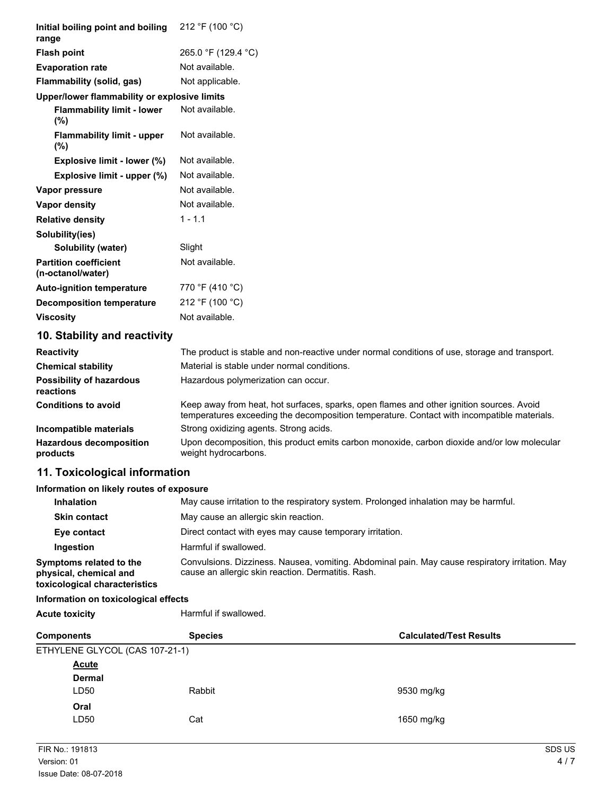| Initial boiling point and boiling<br>range                                         | 212 °F (100 °C)                                                                                                                                                                        |
|------------------------------------------------------------------------------------|----------------------------------------------------------------------------------------------------------------------------------------------------------------------------------------|
| <b>Flash point</b>                                                                 | 265.0 °F (129.4 °C)                                                                                                                                                                    |
| <b>Evaporation rate</b>                                                            | Not available.                                                                                                                                                                         |
| Flammability (solid, gas)                                                          | Not applicable.                                                                                                                                                                        |
| Upper/lower flammability or explosive limits                                       |                                                                                                                                                                                        |
| <b>Flammability limit - lower</b><br>$(\%)$                                        | Not available.                                                                                                                                                                         |
| <b>Flammability limit - upper</b><br>(%)                                           | Not available.                                                                                                                                                                         |
| Explosive limit - lower (%)                                                        | Not available.                                                                                                                                                                         |
| Explosive limit - upper (%)                                                        | Not available.                                                                                                                                                                         |
| Vapor pressure                                                                     | Not available.                                                                                                                                                                         |
| <b>Vapor density</b>                                                               | Not available.                                                                                                                                                                         |
| <b>Relative density</b>                                                            | $1 - 1.1$                                                                                                                                                                              |
| Solubility(ies)                                                                    |                                                                                                                                                                                        |
| <b>Solubility (water)</b>                                                          | Slight                                                                                                                                                                                 |
| <b>Partition coefficient</b><br>(n-octanol/water)                                  | Not available.                                                                                                                                                                         |
| <b>Auto-ignition temperature</b>                                                   | 770 °F (410 °C)                                                                                                                                                                        |
| <b>Decomposition temperature</b>                                                   | 212 °F (100 °C)                                                                                                                                                                        |
| <b>Viscosity</b>                                                                   | Not available.                                                                                                                                                                         |
| 10. Stability and reactivity                                                       |                                                                                                                                                                                        |
| <b>Reactivity</b>                                                                  | The product is stable and non-reactive under normal conditions of use, storage and transport.                                                                                          |
| <b>Chemical stability</b>                                                          | Material is stable under normal conditions.                                                                                                                                            |
| <b>Possibility of hazardous</b><br>reactions                                       | Hazardous polymerization can occur.                                                                                                                                                    |
| <b>Conditions to avoid</b>                                                         | Keep away from heat, hot surfaces, sparks, open flames and other ignition sources. Avoid<br>temperatures exceeding the decomposition temperature. Contact with incompatible materials. |
| Incompatible materials                                                             | Strong oxidizing agents. Strong acids.                                                                                                                                                 |
| <b>Hazardous decomposition</b><br>products                                         | Upon decomposition, this product emits carbon monoxide, carbon dioxide and/or low molecular<br>weight hydrocarbons.                                                                    |
| 11. Toxicological information                                                      |                                                                                                                                                                                        |
| Information on likely routes of exposure                                           |                                                                                                                                                                                        |
| <b>Inhalation</b>                                                                  | May cause irritation to the respiratory system. Prolonged inhalation may be harmful.                                                                                                   |
| <b>Skin contact</b>                                                                | May cause an allergic skin reaction.                                                                                                                                                   |
| Eye contact                                                                        | Direct contact with eyes may cause temporary irritation.                                                                                                                               |
| Ingestion                                                                          | Harmful if swallowed.                                                                                                                                                                  |
| Symptoms related to the<br>physical, chemical and<br>toxicological characteristics | Convulsions. Dizziness. Nausea, vomiting. Abdominal pain. May cause respiratory irritation. May<br>cause an allergic skin reaction. Dermatitis. Rash.                                  |
| Information on toxicological effects                                               |                                                                                                                                                                                        |
| <b>Acute toxicity</b>                                                              | Harmful if swallowed.                                                                                                                                                                  |

| <b>Components</b>              | <b>Species</b> | <b>Calculated/Test Results</b> |
|--------------------------------|----------------|--------------------------------|
| ETHYLENE GLYCOL (CAS 107-21-1) |                |                                |
| <b>Acute</b>                   |                |                                |
| <b>Dermal</b>                  |                |                                |
| LD50                           | Rabbit         | 9530 mg/kg                     |
| Oral                           |                |                                |
| LD50                           | Cat            | 1650 mg/kg                     |
|                                |                |                                |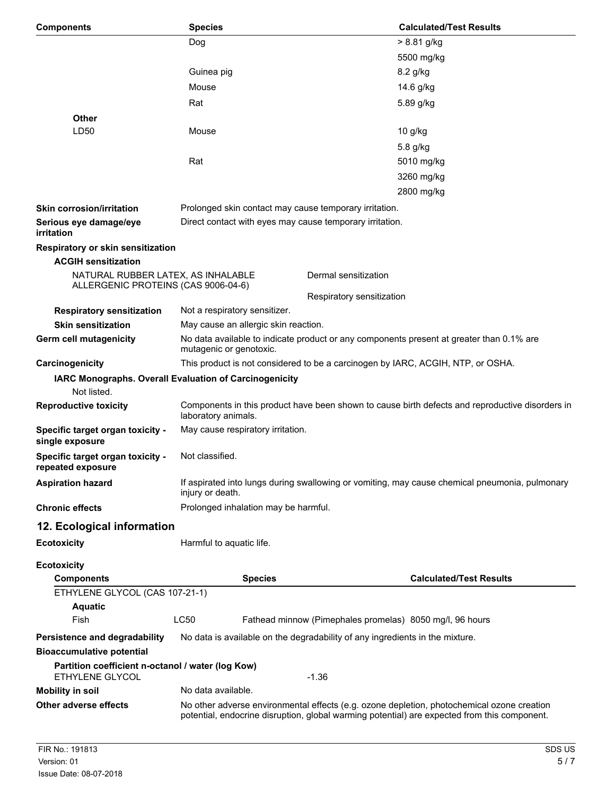| <b>Components</b>                                                         | <b>Species</b>                                                                                                                                                                             |                                                                                                                    | <b>Calculated/Test Results</b>                                                  |  |
|---------------------------------------------------------------------------|--------------------------------------------------------------------------------------------------------------------------------------------------------------------------------------------|--------------------------------------------------------------------------------------------------------------------|---------------------------------------------------------------------------------|--|
|                                                                           | Dog                                                                                                                                                                                        |                                                                                                                    | $> 8.81$ g/kg                                                                   |  |
|                                                                           |                                                                                                                                                                                            |                                                                                                                    | 5500 mg/kg                                                                      |  |
|                                                                           | Guinea pig                                                                                                                                                                                 |                                                                                                                    | 8.2 g/kg                                                                        |  |
|                                                                           | Mouse                                                                                                                                                                                      |                                                                                                                    | 14.6 g/kg                                                                       |  |
|                                                                           | Rat                                                                                                                                                                                        |                                                                                                                    | 5.89 g/kg                                                                       |  |
| <b>Other</b>                                                              |                                                                                                                                                                                            |                                                                                                                    |                                                                                 |  |
| LD50                                                                      | Mouse                                                                                                                                                                                      |                                                                                                                    | 10 g/kg                                                                         |  |
|                                                                           |                                                                                                                                                                                            |                                                                                                                    | 5.8 g/kg                                                                        |  |
|                                                                           | Rat                                                                                                                                                                                        |                                                                                                                    | 5010 mg/kg                                                                      |  |
|                                                                           |                                                                                                                                                                                            |                                                                                                                    | 3260 mg/kg                                                                      |  |
|                                                                           |                                                                                                                                                                                            |                                                                                                                    | 2800 mg/kg                                                                      |  |
| <b>Skin corrosion/irritation</b>                                          |                                                                                                                                                                                            |                                                                                                                    |                                                                                 |  |
|                                                                           |                                                                                                                                                                                            | Prolonged skin contact may cause temporary irritation.<br>Direct contact with eyes may cause temporary irritation. |                                                                                 |  |
| Serious eye damage/eye<br>irritation                                      |                                                                                                                                                                                            |                                                                                                                    |                                                                                 |  |
| Respiratory or skin sensitization                                         |                                                                                                                                                                                            |                                                                                                                    |                                                                                 |  |
| <b>ACGIH sensitization</b>                                                |                                                                                                                                                                                            |                                                                                                                    |                                                                                 |  |
| NATURAL RUBBER LATEX, AS INHALABLE<br>ALLERGENIC PROTEINS (CAS 9006-04-6) |                                                                                                                                                                                            | Dermal sensitization                                                                                               |                                                                                 |  |
|                                                                           |                                                                                                                                                                                            | Respiratory sensitization                                                                                          |                                                                                 |  |
| <b>Respiratory sensitization</b>                                          | Not a respiratory sensitizer.                                                                                                                                                              |                                                                                                                    |                                                                                 |  |
| <b>Skin sensitization</b>                                                 | May cause an allergic skin reaction.                                                                                                                                                       |                                                                                                                    |                                                                                 |  |
| Germ cell mutagenicity                                                    | mutagenic or genotoxic.                                                                                                                                                                    | No data available to indicate product or any components present at greater than 0.1% are                           |                                                                                 |  |
| Carcinogenicity                                                           |                                                                                                                                                                                            |                                                                                                                    | This product is not considered to be a carcinogen by IARC, ACGIH, NTP, or OSHA. |  |
| IARC Monographs. Overall Evaluation of Carcinogenicity<br>Not listed.     |                                                                                                                                                                                            |                                                                                                                    |                                                                                 |  |
| <b>Reproductive toxicity</b>                                              | Components in this product have been shown to cause birth defects and reproductive disorders in<br>laboratory animals.                                                                     |                                                                                                                    |                                                                                 |  |
| Specific target organ toxicity -<br>single exposure                       |                                                                                                                                                                                            | May cause respiratory irritation.                                                                                  |                                                                                 |  |
| Specific target organ toxicity -<br>repeated exposure                     | Not classified.                                                                                                                                                                            |                                                                                                                    |                                                                                 |  |
| <b>Aspiration hazard</b>                                                  | injury or death.                                                                                                                                                                           | If aspirated into lungs during swallowing or vomiting, may cause chemical pneumonia, pulmonary                     |                                                                                 |  |
| <b>Chronic effects</b>                                                    | Prolonged inhalation may be harmful.                                                                                                                                                       |                                                                                                                    |                                                                                 |  |
| 12. Ecological information                                                |                                                                                                                                                                                            |                                                                                                                    |                                                                                 |  |
| <b>Ecotoxicity</b>                                                        | Harmful to aquatic life.                                                                                                                                                                   |                                                                                                                    |                                                                                 |  |
| <b>Ecotoxicity</b>                                                        |                                                                                                                                                                                            |                                                                                                                    |                                                                                 |  |
| <b>Components</b>                                                         | <b>Species</b>                                                                                                                                                                             |                                                                                                                    | <b>Calculated/Test Results</b>                                                  |  |
| ETHYLENE GLYCOL (CAS 107-21-1)                                            |                                                                                                                                                                                            |                                                                                                                    |                                                                                 |  |
| <b>Aquatic</b>                                                            |                                                                                                                                                                                            |                                                                                                                    |                                                                                 |  |
| Fish                                                                      | <b>LC50</b>                                                                                                                                                                                | Fathead minnow (Pimephales promelas) 8050 mg/l, 96 hours                                                           |                                                                                 |  |
| Persistence and degradability                                             |                                                                                                                                                                                            | No data is available on the degradability of any ingredients in the mixture.                                       |                                                                                 |  |
| <b>Bioaccumulative potential</b>                                          |                                                                                                                                                                                            |                                                                                                                    |                                                                                 |  |
| Partition coefficient n-octanol / water (log Kow)<br>ETHYLENE GLYCOL      |                                                                                                                                                                                            | $-1.36$                                                                                                            |                                                                                 |  |
| <b>Mobility in soil</b>                                                   | No data available.                                                                                                                                                                         |                                                                                                                    |                                                                                 |  |
| Other adverse effects                                                     | No other adverse environmental effects (e.g. ozone depletion, photochemical ozone creation<br>potential, endocrine disruption, global warming potential) are expected from this component. |                                                                                                                    |                                                                                 |  |
|                                                                           |                                                                                                                                                                                            |                                                                                                                    |                                                                                 |  |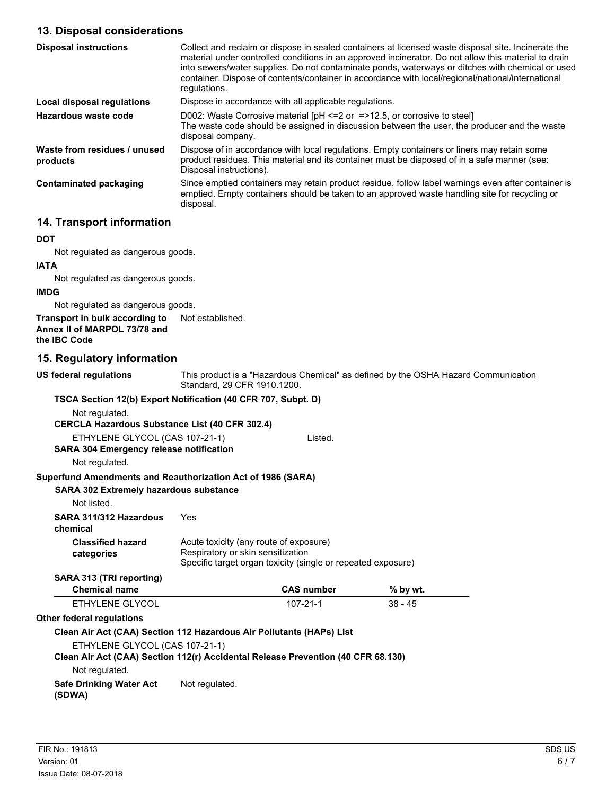### **13. Disposal considerations**

| <b>Disposal instructions</b>             | Collect and reclaim or dispose in sealed containers at licensed waste disposal site. Incinerate the<br>material under controlled conditions in an approved incinerator. Do not allow this material to drain<br>into sewers/water supplies. Do not contaminate ponds, waterways or ditches with chemical or used<br>container. Dispose of contents/container in accordance with local/regional/national/international<br>requlations. |
|------------------------------------------|--------------------------------------------------------------------------------------------------------------------------------------------------------------------------------------------------------------------------------------------------------------------------------------------------------------------------------------------------------------------------------------------------------------------------------------|
| Local disposal regulations               | Dispose in accordance with all applicable regulations.                                                                                                                                                                                                                                                                                                                                                                               |
| Hazardous waste code                     | D002: Waste Corrosive material $[PH \le 2$ or $= >12.5$ , or corrosive to steel<br>The waste code should be assigned in discussion between the user, the producer and the waste<br>disposal company.                                                                                                                                                                                                                                 |
| Waste from residues / unused<br>products | Dispose of in accordance with local regulations. Empty containers or liners may retain some<br>product residues. This material and its container must be disposed of in a safe manner (see:<br>Disposal instructions).                                                                                                                                                                                                               |
| <b>Contaminated packaging</b>            | Since emptied containers may retain product residue, follow label warnings even after container is<br>emptied. Empty containers should be taken to an approved waste handling site for recycling or<br>disposal.                                                                                                                                                                                                                     |

# **14. Transport information**

#### **DOT**

Not regulated as dangerous goods.

# **IATA**

Not regulated as dangerous goods.

### **IMDG**

Not regulated as dangerous goods.

**Transport in bulk according to** Not established. **Annex II of MARPOL 73/78 and the IBC Code**

### **15. Regulatory information**

| <b>US federal regulations</b>                                                    | This product is a "Hazardous Chemical" as defined by the OSHA Hazard Communication<br>Standard, 29 CFR 1910.1200.                           |                   |           |  |
|----------------------------------------------------------------------------------|---------------------------------------------------------------------------------------------------------------------------------------------|-------------------|-----------|--|
| TSCA Section 12(b) Export Notification (40 CFR 707, Subpt. D)                    |                                                                                                                                             |                   |           |  |
| Not regulated.                                                                   |                                                                                                                                             |                   |           |  |
| <b>CERCLA Hazardous Substance List (40 CFR 302.4)</b>                            |                                                                                                                                             |                   |           |  |
| ETHYLENE GLYCOL (CAS 107-21-1)                                                   |                                                                                                                                             | Listed.           |           |  |
| <b>SARA 304 Emergency release notification</b>                                   |                                                                                                                                             |                   |           |  |
| Not regulated.                                                                   |                                                                                                                                             |                   |           |  |
| Superfund Amendments and Reauthorization Act of 1986 (SARA)                      |                                                                                                                                             |                   |           |  |
| <b>SARA 302 Extremely hazardous substance</b>                                    |                                                                                                                                             |                   |           |  |
| Not listed.                                                                      |                                                                                                                                             |                   |           |  |
| SARA 311/312 Hazardous<br>chemical                                               | Yes                                                                                                                                         |                   |           |  |
| <b>Classified hazard</b><br>categories                                           | Acute toxicity (any route of exposure)<br>Respiratory or skin sensitization<br>Specific target organ toxicity (single or repeated exposure) |                   |           |  |
| SARA 313 (TRI reporting)                                                         |                                                                                                                                             |                   |           |  |
| <b>Chemical name</b>                                                             |                                                                                                                                             | <b>CAS number</b> | % by wt.  |  |
| ETHYLENE GLYCOL                                                                  |                                                                                                                                             | $107 - 21 - 1$    | $38 - 45$ |  |
| <b>Other federal requlations</b>                                                 |                                                                                                                                             |                   |           |  |
| Clean Air Act (CAA) Section 112 Hazardous Air Pollutants (HAPs) List             |                                                                                                                                             |                   |           |  |
| ETHYLENE GLYCOL (CAS 107-21-1)                                                   |                                                                                                                                             |                   |           |  |
| Clean Air Act (CAA) Section 112(r) Accidental Release Prevention (40 CFR 68.130) |                                                                                                                                             |                   |           |  |
| Not regulated.                                                                   |                                                                                                                                             |                   |           |  |
| <b>Safe Drinking Water Act</b><br>(SDWA)                                         | Not regulated.                                                                                                                              |                   |           |  |
|                                                                                  |                                                                                                                                             |                   |           |  |
|                                                                                  |                                                                                                                                             |                   |           |  |